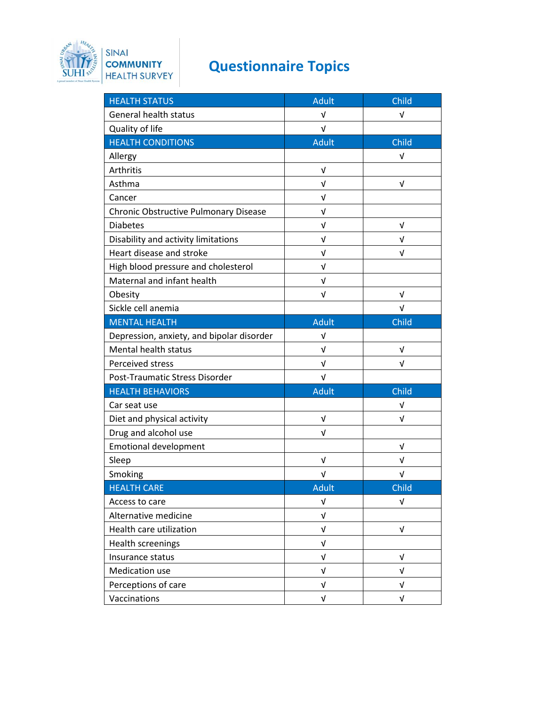

## **Questionnaire Topics**

| <b>HEALTH STATUS</b>                      | <b>Adult</b> | Child      |
|-------------------------------------------|--------------|------------|
| <b>General health status</b>              | V            | V          |
| Quality of life                           | $\sqrt{ }$   |            |
| <b>HEALTH CONDITIONS</b>                  | <b>Adult</b> | Child      |
| Allergy                                   |              | V          |
| Arthritis                                 | $\sqrt{ }$   |            |
| Asthma                                    | V            | V          |
| Cancer                                    | V            |            |
| Chronic Obstructive Pulmonary Disease     | $\sqrt{ }$   |            |
| <b>Diabetes</b>                           | V            | V          |
| Disability and activity limitations       | V            | V          |
| Heart disease and stroke                  | V            | $\sqrt{ }$ |
| High blood pressure and cholesterol       | V            |            |
| Maternal and infant health                | V            |            |
| Obesity                                   | $\sqrt{ }$   | $\sqrt{ }$ |
| Sickle cell anemia                        |              | V          |
| <b>MENTAL HEALTH</b>                      | <b>Adult</b> | Child      |
| Depression, anxiety, and bipolar disorder | V            |            |
| Mental health status                      | $\sqrt{ }$   | V          |
| Perceived stress                          | V            | v          |
| Post-Traumatic Stress Disorder            | V            |            |
| <b>HEALTH BEHAVIORS</b>                   | <b>Adult</b> | Child      |
| Car seat use                              |              | $\sqrt{ }$ |
| Diet and physical activity                | $\sqrt{ }$   | $\sqrt{ }$ |
| Drug and alcohol use                      | V            |            |
| <b>Emotional development</b>              |              | V          |
| Sleep                                     | $\sqrt{ }$   | V          |
| Smoking                                   | V            | V          |
| <b>HEALTH CARE</b>                        | <b>Adult</b> | Child      |
| Access to care                            | V            | V          |
| Alternative medicine                      | $\sqrt{ }$   |            |
| Health care utilization                   | $\sqrt{ }$   | $\sqrt{ }$ |
| <b>Health screenings</b>                  | V            |            |
| Insurance status                          | V            | V          |
| Medication use                            | V            | V          |
| Perceptions of care                       | $\sqrt{ }$   | $\sqrt{ }$ |
| Vaccinations                              | $\sqrt{ }$   | V          |